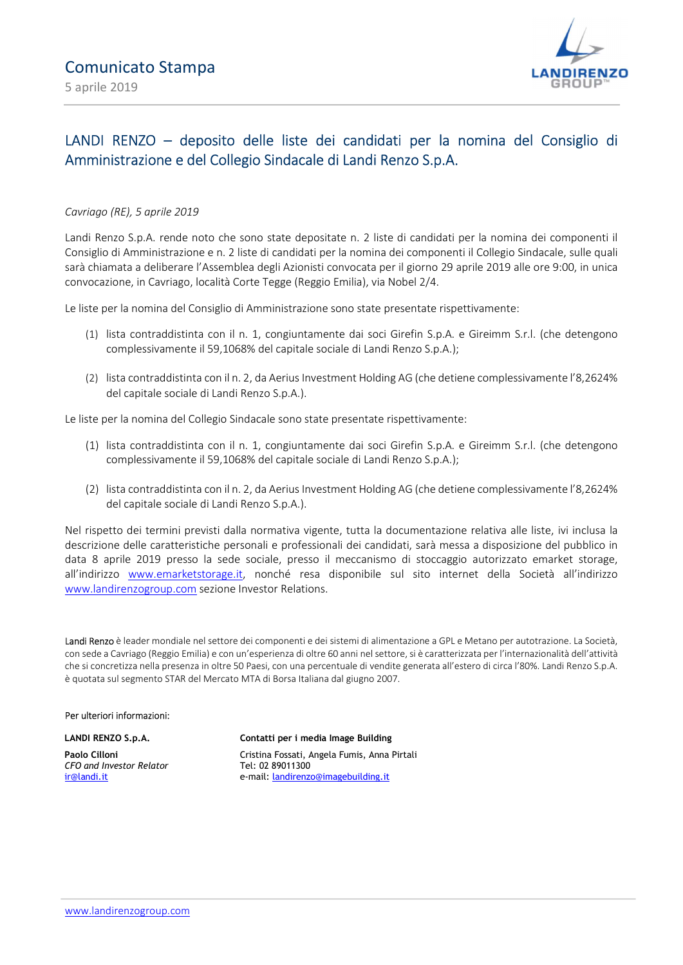

# LANDI RENZO – deposito delle liste dei candidati per la nomina del Consiglio di Amministrazione e del Collegio Sindacale di Landi Renzo S.p.A.

### Cavriago (RE), 5 aprile 2019

Landi Renzo S.p.A. rende noto che sono state depositate n. 2 liste di candidati per la nomina dei componenti il Consiglio di Amministrazione e n. 2 liste di candidati per la nomina dei componenti il Collegio Sindacale, sulle quali sarà chiamata a deliberare l'Assemblea degli Azionisti convocata per il giorno 29 aprile 2019 alle ore 9:00, in unica convocazione, in Cavriago, località Corte Tegge (Reggio Emilia), via Nobel 2/4.

Le liste per la nomina del Consiglio di Amministrazione sono state presentate rispettivamente:

- (1) lista contraddistinta con il n. 1, congiuntamente dai soci Girefin S.p.A. e Gireimm S.r.l. (che detengono complessivamente il 59,1068% del capitale sociale di Landi Renzo S.p.A.);
- (2) lista contraddistinta con il n. 2, da Aerius Investment Holding AG (che detiene complessivamente l'8,2624% del capitale sociale di Landi Renzo S.p.A.).

Le liste per la nomina del Collegio Sindacale sono state presentate rispettivamente:

- (1) lista contraddistinta con il n. 1, congiuntamente dai soci Girefin S.p.A. e Gireimm S.r.l. (che detengono complessivamente il 59,1068% del capitale sociale di Landi Renzo S.p.A.);
- (2) lista contraddistinta con il n. 2, da Aerius Investment Holding AG (che detiene complessivamente l'8,2624% del capitale sociale di Landi Renzo S.p.A.).

Nel rispetto dei termini previsti dalla normativa vigente, tutta la documentazione relativa alle liste, ivi inclusa la descrizione delle caratteristiche personali e professionali dei candidati, sarà messa a disposizione del pubblico in data 8 aprile 2019 presso la sede sociale, presso il meccanismo di stoccaggio autorizzato emarket storage, all'indirizzo www.emarketstorage.it, nonché resa disponibile sul sito internet della Società all'indirizzo www.landirenzogroup.com sezione Investor Relations.

Landi Renzo è leader mondiale nel settore dei componenti e dei sistemi di alimentazione a GPL e Metano per autotrazione. La Società, con sede a Cavriago (Reggio Emilia) e con un'esperienza di oltre 60 anni nel settore, si è caratterizzata per l'internazionalità dell'attività che si concretizza nella presenza in oltre 50 Paesi, con una percentuale di vendite generata all'estero di circa l'80%. Landi Renzo S.p.A. è quotata sul segmento STAR del Mercato MTA di Borsa Italiana dal giugno 2007.

#### Per ulteriori informazioni:

LANDI RENZO S.p.A.

Paolo Cilloni CFO and Investor Relator ir@landi.it

#### Contatti per i media Image Building

Cristina Fossati, Angela Fumis, Anna Pirtali Tel: 02 89011300 e-mail: landirenzo@imagebuilding.it